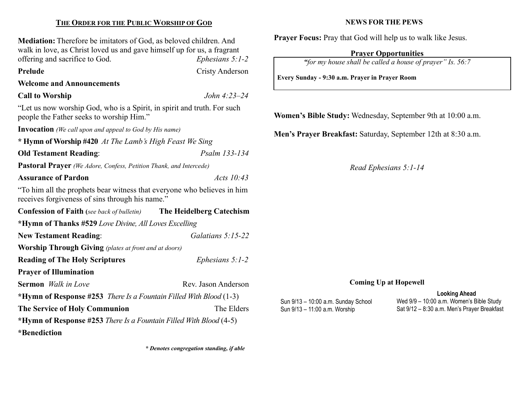# THE ORDER FOR THE PUBLIC WORSHIP OF GOD

Mediation: Therefore be imitators of God, as beloved children. And walk in love, as Christ loved us and gave himself up for us, a fragrant offering and sacrifice to God. Ephesians 5:1-2

Prelude Cristy Anderson

# Welcome and Announcements

Call to Worship John 4:23–24

"Let us now worship God, who is a Spirit, in spirit and truth. For such people the Father seeks to worship Him."

Invocation (We call upon and appeal to God by His name)

\* Hymn of Worship #420 At The Lamb's High Feast We Sing

Old Testament Reading: Psalm 133-134

Pastoral Prayer (We Adore, Confess, Petition Thank, and Intercede)

## Assurance of Pardon Acts 10:43

"To him all the prophets bear witness that everyone who believes in him receives forgiveness of sins through his name."

| <b>Confession of Faith</b> (see back of bulletin)                           | The Heidelberg Catechism |  |  |  |
|-----------------------------------------------------------------------------|--------------------------|--|--|--|
| *Hymn of Thanks #529 Love Divine, All Loves Excelling                       |                          |  |  |  |
| <b>New Testament Reading:</b>                                               | Galatians $5:15-22$      |  |  |  |
| <b>Worship Through Giving</b> (plates at front and at doors)                |                          |  |  |  |
| <b>Reading of The Holy Scriptures</b>                                       | Ephesians $5:1-2$        |  |  |  |
| <b>Prayer of Illumination</b>                                               |                          |  |  |  |
| <b>Sermon</b> Walk in Love                                                  | Rev. Jason Anderson      |  |  |  |
| *Hymn of Response #253 <i>There Is a Fountain Filled With Blood</i> $(1-3)$ |                          |  |  |  |
| <b>The Service of Holy Communion</b>                                        | The Elders               |  |  |  |
| *Hymn of Response #253 There Is a Fountain Filled With Blood $(4-5)$        |                          |  |  |  |
| *Benediction                                                                |                          |  |  |  |

\* Denotes congregation standing, if able

# NEWS FOR THE PEWS

Prayer Focus: Pray that God will help us to walk like Jesus.

# Prayer Opportunities

"for my house shall be called a house of prayer" Is. 56:7

Every Sunday - 9:30 a.m. Prayer in Prayer Room

Women's Bible Study: Wednesday, September 9th at 10:00 a.m.

Men's Prayer Breakfast: Saturday, September 12th at 8:30 a.m.

Read Ephesians 5:1-14

#### Coming Up at Hopewell

#### Sun 9/13 – 10:00 a.m. Sunday School Sun 9/13 – 11:00 a.m. Worship

Looking Ahead Wed 9/9 – 10:00 a.m. Women's Bible Study Sat 9/12 – 8:30 a.m. Men's Prayer Breakfast